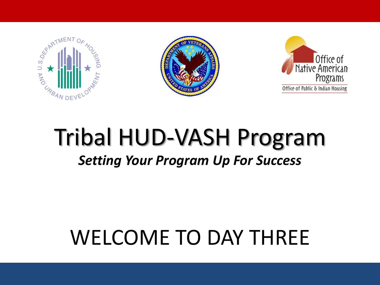





### Tribal HUD-VASH Program *Setting Your Program Up For Success*

# WELCOME TO DAY THREE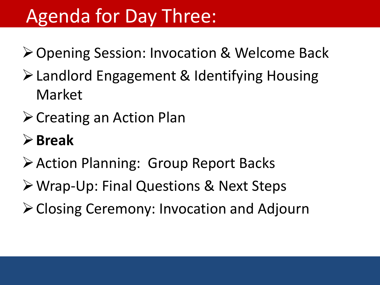## Agenda for Day Three:

**≻ Opening Session: Invocation & Welcome Back** 

- Landlord Engagement & Identifying Housing Market
- $\triangleright$  Creating an Action Plan

#### **Break**

- Action Planning: Group Report Backs
- Wrap-Up: Final Questions & Next Steps
- Closing Ceremony: Invocation and Adjourn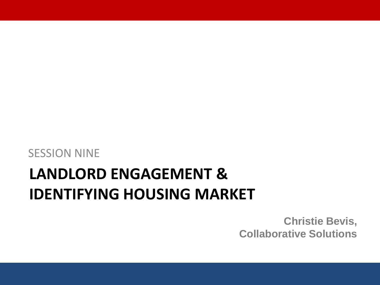SESSION NINE

#### **LANDLORD ENGAGEMENT & IDENTIFYING HOUSING MARKET**

**Christie Bevis, Collaborative Solutions**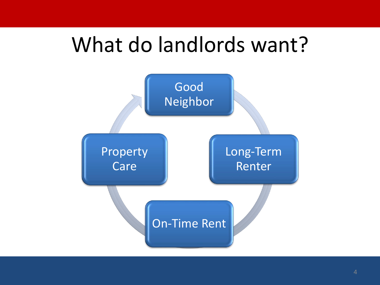## What do landlords want?

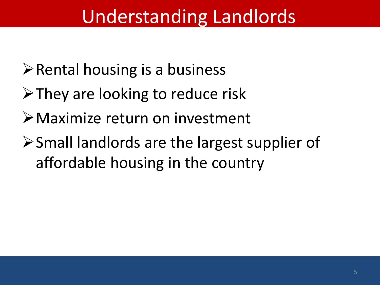## Understanding Landlords

- $\triangleright$  Rental housing is a business
- $\triangleright$  They are looking to reduce risk
- Maximize return on investment
- Small landlords are the largest supplier of affordable housing in the country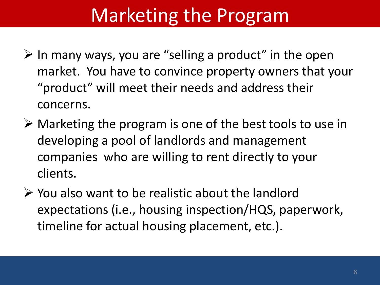# Marketing the Program

- $\triangleright$  In many ways, you are "selling a product" in the open market. You have to convince property owners that your "product" will meet their needs and address their concerns.
- $\triangleright$  Marketing the program is one of the best tools to use in developing a pool of landlords and management companies who are willing to rent directly to your clients.
- $\triangleright$  You also want to be realistic about the landlord expectations (i.e., housing inspection/HQS, paperwork, timeline for actual housing placement, etc.).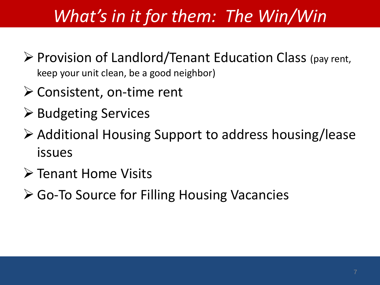### *What's in it for them: The Win/Win*

- $\triangleright$  Provision of Landlord/Tenant Education Class (pay rent, keep your unit clean, be a good neighbor)
- $\triangleright$  Consistent, on-time rent
- **≻ Budgeting Services**
- Additional Housing Support to address housing/lease issues
- **≻ Tenant Home Visits**
- **≻ Go-To Source for Filling Housing Vacancies**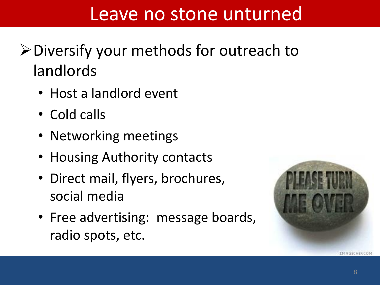#### Leave no stone unturned

- Diversify your methods for outreach to landlords
	- Host a landlord event
	- Cold calls
	- Networking meetings
	- Housing Authority contacts
	- Direct mail, flyers, brochures, social media
	- Free advertising: message boards, radio spots, etc.

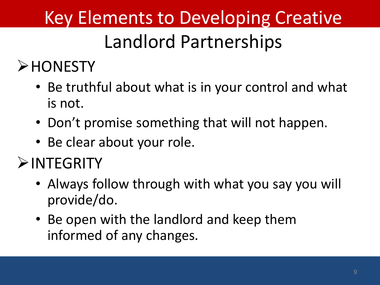## Key Elements to Developing Creative

## Landlord Partnerships

#### **>HONESTY**

- Be truthful about what is in your control and what is not.
- Don't promise something that will not happen.
- Be clear about your role.

#### **EXAMPLE**

- Always follow through with what you say you will provide/do.
- Be open with the landlord and keep them informed of any changes.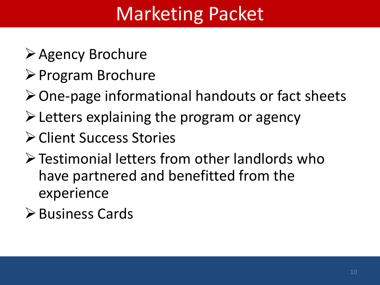# Marketing Packet

- **≻Agency Brochure**
- **≻ Program Brochure**
- $\triangleright$  One-page informational handouts or fact sheets
- $\triangleright$  Letters explaining the program or agency
- **≻ Client Success Stories**
- Testimonial letters from other landlords who have partnered and benefitted from the experience
- Business Cards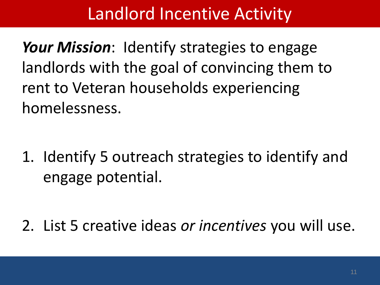#### Landlord Incentive Activity

*Your Mission*: Identify strategies to engage landlords with the goal of convincing them to rent to Veteran households experiencing homelessness.

1. Identify 5 outreach strategies to identify and engage potential.

2. List 5 creative ideas *or incentives* you will use.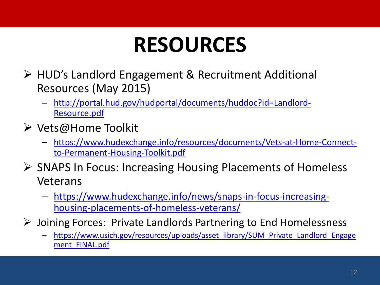# **RESOURCES**

- HUD's Landlord Engagement & Recruitment Additional Resources (May 2015)
	- [http://portal.hud.gov/hudportal/documents/huddoc?id=Landlord-](http://portal.hud.gov/hudportal/documents/huddoc?id=Landlord-Resource.pdf)Resource.pdf
- $\triangleright$  Vets@Home Toolkit
	- [https://www.hudexchange.info/resources/documents/Vets-at-Home-Connect](https://www.hudexchange.info/resources/documents/Vets-at-Home-Connect-to-Permanent-Housing-Toolkit.pdf)to-Permanent-Housing-Toolkit.pdf
- **► SNAPS In Focus: Increasing Housing Placements of Homeless** Veterans
	- [https://www.hudexchange.info/news/snaps-in-focus-increasing](https://www.hudexchange.info/news/snaps-in-focus-increasing-housing-placements-of-homeless-veterans/)housing-placements-of-homeless-veterans/
- Joining Forces: Private Landlords Partnering to End Homelessness
	- [https://www.usich.gov/resources/uploads/asset\\_library/SUM\\_Private\\_Landlord\\_Engage](https://www.usich.gov/resources/uploads/asset_library/SUM_Private_Landlord_Engagement_FINAL.pdf) ment FINAL.pdf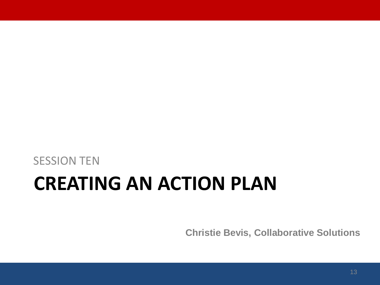### SESSION TEN **CREATING AN ACTION PLAN**

**Christie Bevis, Collaborative Solutions**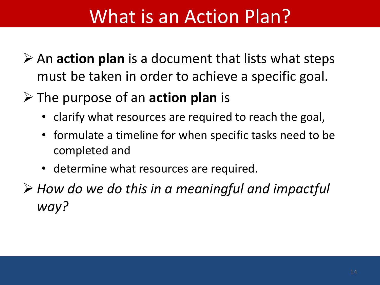## What is an Action Plan?

- **≻** An **action plan** is a document that lists what steps must be taken in order to achieve a specific goal.
- The purpose of an **action plan** is
	- clarify what resources are required to reach the goal,
	- formulate a timeline for when specific tasks need to be completed and
	- determine what resources are required.
- *How do we do this in a meaningful and impactful way?*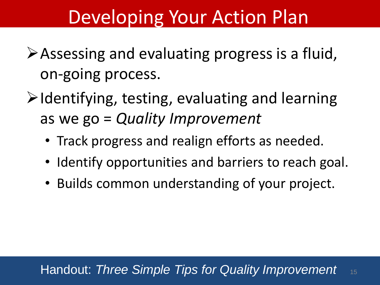### Developing Your Action Plan

- Assessing and evaluating progress is a fluid, on-going process.
- $\triangleright$  Identifying, testing, evaluating and learning as we go = *Quality Improvement* 
	- Track progress and realign efforts as needed.
	- Identify opportunities and barriers to reach goal.
	- Builds common understanding of your project.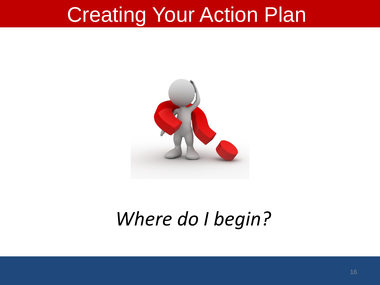# Creating Your Action Plan



## *Where do I begin?*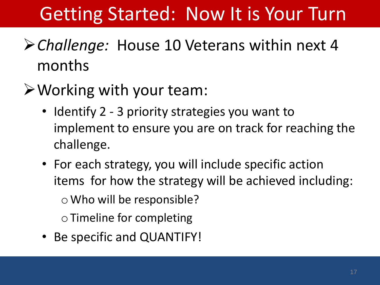# Getting Started: Now It is Your Turn

#### *Challenge:* House 10 Veterans within next 4 months

#### $\triangleright$  Working with your team:

- Identify 2 3 priority strategies you want to implement to ensure you are on track for reaching the challenge.
- For each strategy, you will include specific action items for how the strategy will be achieved including: o Who will be responsible? o Timeline for completing
- Be specific and QUANTIFY!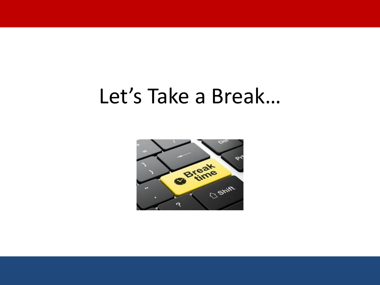## Let's Take a Break…

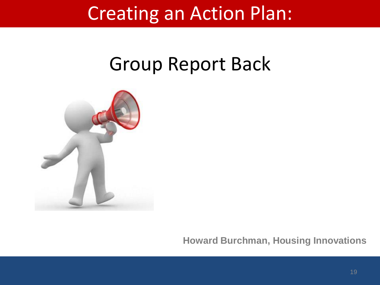### Creating an Action Plan:

### Group Report Back



**Howard Burchman, Housing Innovations**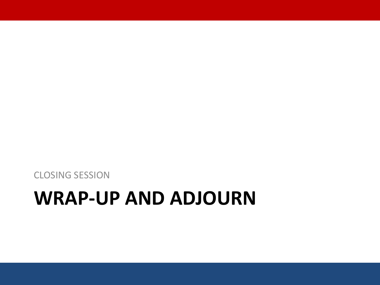# **WRAP-UP AND ADJOURN**

CLOSING SESSION